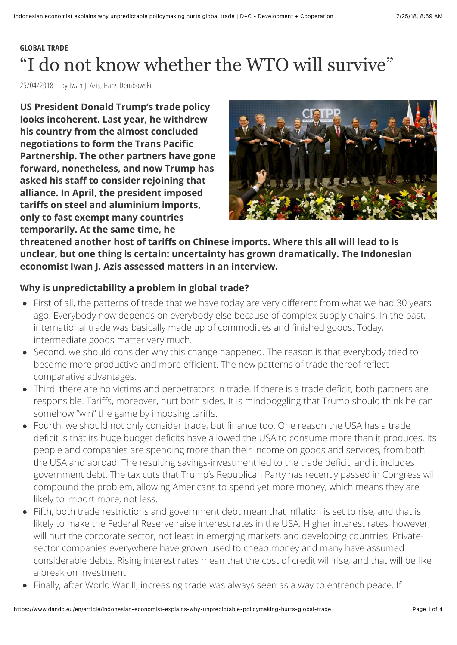# **GLOBAL TRADE** "I do not know whether the WTO will survive"

25/04/2018 – by Iwan J. Azis, Hans Dembowski

**US President Donald Trump's trade policy looks incoherent. Last year, he withdrew his country from the almost concluded negotiations to form the Trans Pacific Partnership. The other partners have gone forward, nonetheless, and now Trump has asked his staff to consider rejoining that alliance. In April, the president imposed tariffs on steel and aluminium imports, only to fast exempt many countries temporarily. At the same time, he**



**threatened another host of tariffs on Chinese imports. Where this all will lead to is unclear, but one thing is certain: uncertainty has grown dramatically. The Indonesian economist Iwan J. Azis assessed matters in an interview.**

### **Why is unpredictability a problem in global trade?**

- First of all, the patterns of trade that we have today are very different from what we had 30 years ago. Everybody now depends on everybody else because of complex supply chains. In the past, international trade was basically made up of commodities and finished goods. Today, intermediate goods matter very much.
- Second, we should consider why this change happened. The reason is that everybody tried to become more productive and more efficient. The new patterns of trade thereof reflect comparative advantages.
- Third, there are no victims and perpetrators in trade. If there is a trade deficit, both partners are responsible. Tariffs, moreover, hurt both sides. It is mindboggling that Trump should think he can somehow "win" the game by imposing tariffs.
- Fourth, we should not only consider trade, but finance too. One reason the USA has a trade deficit is that its huge budget deficits have allowed the USA to consume more than it produces. Its people and companies are spending more than their income on goods and services, from both the USA and abroad. The resulting savings-investment led to the trade deficit, and it includes government debt. The tax cuts that Trump's Republican Party has recently passed in Congress will compound the problem, allowing Americans to spend yet more money, which means they are likely to import more, not less.
- Fifth, both trade restrictions and government debt mean that inflation is set to rise, and that is likely to make the Federal Reserve raise interest rates in the USA. Higher interest rates, however, will hurt the corporate sector, not least in emerging markets and developing countries. Privatesector companies everywhere have grown used to cheap money and many have assumed considerable debts. Rising interest rates mean that the cost of credit will rise, and that will be like a break on investment.
- Finally, after World War II, increasing trade was always seen as a way to entrench peace. If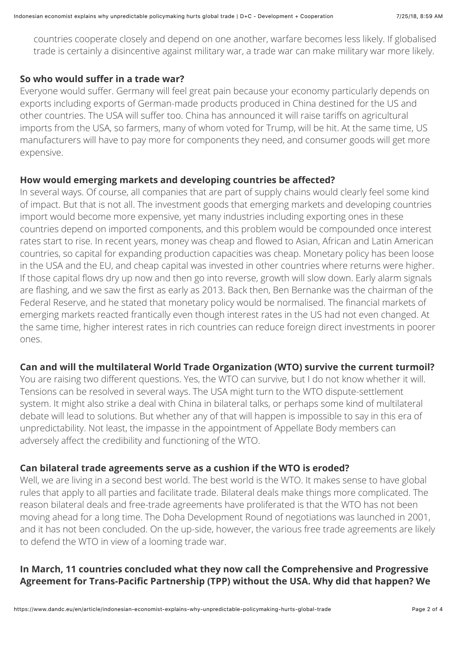countries cooperate closely and depend on one another, warfare becomes less likely. If globalised trade is certainly a disincentive against military war, a trade war can make military war more likely.

### **So who would suffer in a trade war?**

Everyone would suffer. Germany will feel great pain because your economy particularly depends on exports including exports of German-made products produced in China destined for the US and other countries. The USA will suffer too. China has announced it will raise tariffs on agricultural imports from the USA, so farmers, many of whom voted for Trump, will be hit. At the same time, US manufacturers will have to pay more for components they need, and consumer goods will get more expensive.

### **How would emerging markets and developing countries be affected?**

In several ways. Of course, all companies that are part of supply chains would clearly feel some kind of impact. But that is not all. The investment goods that emerging markets and developing countries import would become more expensive, yet many industries including exporting ones in these countries depend on imported components, and this problem would be compounded once interest rates start to rise. In recent years, money was cheap and flowed to Asian, African and Latin American countries, so capital for expanding production capacities was cheap. Monetary policy has been loose in the USA and the EU, and cheap capital was invested in other countries where returns were higher. If those capital flows dry up now and then go into reverse, growth will slow down. Early alarm signals are flashing, and we saw the first as early as 2013. Back then, Ben Bernanke was the chairman of the Federal Reserve, and he stated that monetary policy would be normalised. The financial markets of emerging markets reacted frantically even though interest rates in the US had not even changed. At the same time, higher interest rates in rich countries can reduce foreign direct investments in poorer ones.

### **Can and will the multilateral World Trade Organization (WTO) survive the current turmoil?**

You are raising two different questions. Yes, the WTO can survive, but I do not know whether it will. Tensions can be resolved in several ways. The USA might turn to the WTO dispute-settlement system. It might also strike a deal with China in bilateral talks, or perhaps some kind of multilateral debate will lead to solutions. But whether any of that will happen is impossible to say in this era of unpredictability. Not least, the impasse in the appointment of Appellate Body members can adversely affect the credibility and functioning of the WTO.

### **Can bilateral trade agreements serve as a cushion if the WTO is eroded?**

Well, we are living in a second best world. The best world is the WTO. It makes sense to have global rules that apply to all parties and facilitate trade. Bilateral deals make things more complicated. The reason bilateral deals and free-trade agreements have proliferated is that the WTO has not been moving ahead for a long time. The Doha Development Round of negotiations was launched in 2001, and it has not been concluded. On the up-side, however, the various free trade agreements are likely to defend the WTO in view of a looming trade war.

## **In March, 11 countries concluded what they now call the Comprehensive and Progressive Agreement for Trans-Pacific Partnership (TPP) without the USA. Why did that happen? We**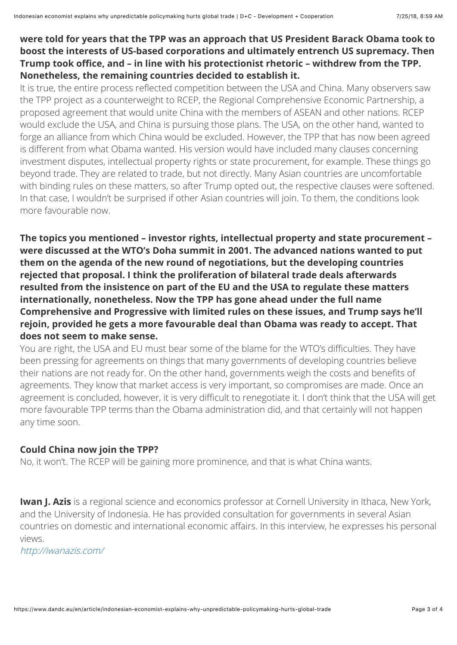### **were told for years that the TPP was an approach that US President Barack Obama took to boost the interests of US-based corporations and ultimately entrench US supremacy. Then Trump took office, and – in line with his protectionist rhetoric – withdrew from the TPP. Nonetheless, the remaining countries decided to establish it.**

It is true, the entire process reflected competition between the USA and China. Many observers saw the TPP project as a counterweight to RCEP, the Regional Comprehensive Economic Partnership, a proposed agreement that would unite China with the members of ASEAN and other nations. RCEP would exclude the USA, and China is pursuing those plans. The USA, on the other hand, wanted to forge an alliance from which China would be excluded. However, the TPP that has now been agreed is different from what Obama wanted. His version would have included many clauses concerning investment disputes, intellectual property rights or state procurement, for example. These things go beyond trade. They are related to trade, but not directly. Many Asian countries are uncomfortable with binding rules on these matters, so after Trump opted out, the respective clauses were softened. In that case, I wouldn't be surprised if other Asian countries will join. To them, the conditions look more favourable now.

**The topics you mentioned – investor rights, intellectual property and state procurement – were discussed at the WTO's Doha summit in 2001. The advanced nations wanted to put them on the agenda of the new round of negotiations, but the developing countries rejected that proposal. I think the proliferation of bilateral trade deals afterwards resulted from the insistence on part of the EU and the USA to regulate these matters internationally, nonetheless. Now the TPP has gone ahead under the full name Comprehensive and Progressive with limited rules on these issues, and Trump says he'll rejoin, provided he gets a more favourable deal than Obama was ready to accept. That does not seem to make sense.**

You are right, the USA and EU must bear some of the blame for the WTO's difficulties. They have been pressing for agreements on things that many governments of developing countries believe their nations are not ready for. On the other hand, governments weigh the costs and benefits of agreements. They know that market access is very important, so compromises are made. Once an agreement is concluded, however, it is very difficult to renegotiate it. I don't think that the USA will get more favourable TPP terms than the Obama administration did, and that certainly will not happen any time soon.

### **Could China now join the TPP?**

No, it won't. The RCEP will be gaining more prominence, and that is what China wants.

**Iwan J. Azis** is a regional science and economics professor at Cornell University in Ithaca, New York, and the University of Indonesia. He has provided consultation for governments in several Asian countries on domestic and international economic affairs. In this interview, he expresses his personal views.

<http://iwanazis.com/>